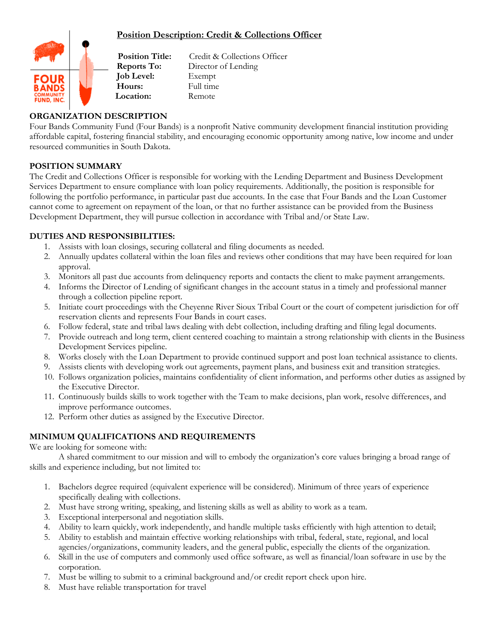# **Position Description: Credit & Collections Officer**



**Reports To:** Director of Lending **Job Level:** Exempt **Hours:** Full time **Location:** Remote

**Position Title:** Credit & Collections Officer

# **ORGANIZATION DESCRIPTION**

Four Bands Community Fund (Four Bands) is a nonprofit Native community development financial institution providing affordable capital, fostering financial stability, and encouraging economic opportunity among native, low income and under resourced communities in South Dakota.

## **POSITION SUMMARY**

The Credit and Collections Officer is responsible for working with the Lending Department and Business Development Services Department to ensure compliance with loan policy requirements. Additionally, the position is responsible for following the portfolio performance, in particular past due accounts. In the case that Four Bands and the Loan Customer cannot come to agreement on repayment of the loan, or that no further assistance can be provided from the Business Development Department, they will pursue collection in accordance with Tribal and/or State Law.

## **DUTIES AND RESPONSIBILITIES:**

- 1. Assists with loan closings, securing collateral and filing documents as needed.
- 2. Annually updates collateral within the loan files and reviews other conditions that may have been required for loan approval.
- 3. Monitors all past due accounts from delinquency reports and contacts the client to make payment arrangements.
- 4. Informs the Director of Lending of significant changes in the account status in a timely and professional manner through a collection pipeline report.
- 5. Initiate court proceedings with the Cheyenne River Sioux Tribal Court or the court of competent jurisdiction for off reservation clients and represents Four Bands in court cases.
- 6. Follow federal, state and tribal laws dealing with debt collection, including drafting and filing legal documents.
- 7. Provide outreach and long term, client centered coaching to maintain a strong relationship with clients in the Business Development Services pipeline.
- 8. Works closely with the Loan Department to provide continued support and post loan technical assistance to clients.
- 9. Assists clients with developing work out agreements, payment plans, and business exit and transition strategies.
- 10. Follows organization policies, maintains confidentiality of client information, and performs other duties as assigned by the Executive Director.
- 11. Continuously builds skills to work together with the Team to make decisions, plan work, resolve differences, and improve performance outcomes.
- 12. Perform other duties as assigned by the Executive Director.

## **MINIMUM QUALIFICATIONS AND REQUIREMENTS**

We are looking for someone with:

A shared commitment to our mission and will to embody the organization's core values bringing a broad range of skills and experience including, but not limited to:

- 1. Bachelors degree required (equivalent experience will be considered). Minimum of three years of experience specifically dealing with collections.
- 2. Must have strong writing, speaking, and listening skills as well as ability to work as a team.
- 3. Exceptional interpersonal and negotiation skills.
- 4. Ability to learn quickly, work independently, and handle multiple tasks efficiently with high attention to detail;
- 5. Ability to establish and maintain effective working relationships with tribal, federal, state, regional, and local agencies/organizations, community leaders, and the general public, especially the clients of the organization.
- 6. Skill in the use of computers and commonly used office software, as well as financial/loan software in use by the corporation.
- 7. Must be willing to submit to a criminal background and/or credit report check upon hire.
- 8. Must have reliable transportation for travel